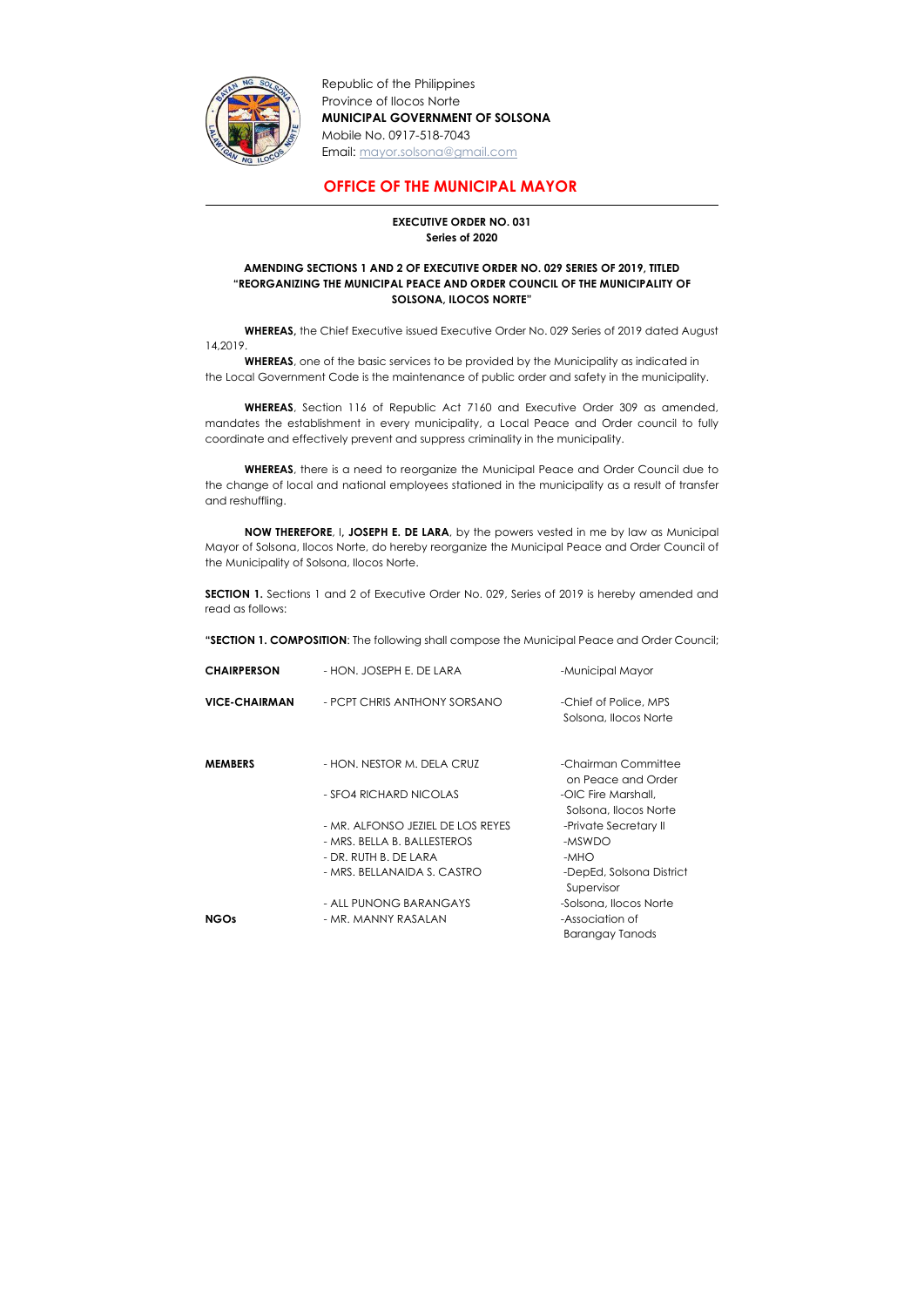

-

Republic of the Philippines Province of Ilocos Norte MUNICIPAL GOVERNMENT OF SOLSONA Mobile No. 0917-518-7043 Email: mayor.solsona@gmail.com

## OFFICE OF THE MUNICIPAL MAYOR

## EXECUTIVE ORDER NO. 031 Series of 2020

## AMENDING SECTIONS 1 AND 2 OF EXECUTIVE ORDER NO. 029 SERIES OF 2019, TITLED "REORGANIZING THE MUNICIPAL PEACE AND ORDER COUNCIL OF THE MUNICIPALITY OF SOLSONA, ILOCOS NORTE"

WHEREAS, the Chief Executive issued Executive Order No. 029 Series of 2019 dated August 14,2019.

WHEREAS, one of the basic services to be provided by the Municipality as indicated in the Local Government Code is the maintenance of public order and safety in the municipality.

SECTION 1. Sections 1 and 2 of Executive Order No. 029, Series of 2019 is hereby amended and read as follows:

WHEREAS, Section 116 of Republic Act 7160 and Executive Order 309 as amended, mandates the establishment in every municipality, a Local Peace and Order council to fully coordinate and effectively prevent and suppress criminality in the municipality.

WHEREAS, there is a need to reorganize the Municipal Peace and Order Council due to the change of local and national employees stationed in the municipality as a result of transfer and reshuffling.

NOW THEREFORE, I, JOSEPH E. DE LARA, by the powers vested in me by law as Municipal Mayor of Solsona, Ilocos Norte, do hereby reorganize the Municipal Peace and Order Council of the Municipality of Solsona, Ilocos Norte.

"SECTION 1. COMPOSITION: The following shall compose the Municipal Peace and Order Council;

| <b>CHAIRPERSON</b>   | - HON. JOSEPH E. DE LARA          | -Municipal Mayor                               |
|----------------------|-----------------------------------|------------------------------------------------|
| <b>VICE-CHAIRMAN</b> | - PCPT CHRIS ANTHONY SORSANO      | -Chief of Police, MPS<br>Solsona, Ilocos Norte |
| <b>MEMBERS</b>       | - HON. NESTOR M. DELA CRUZ        | -Chairman Committee<br>on Peace and Order      |
|                      | - SFO4 RICHARD NICOLAS            | -OIC Fire Marshall,<br>Solsona, Ilocos Norte   |
|                      | - MR. ALFONSO JEZIEL DE LOS REYES | -Private Secretary II                          |
|                      | - MRS. BELLA B. BALLESTEROS       | -MSWDO                                         |
|                      | - DR. RUTH B. DE LARA             | -MHO                                           |
|                      | - MRS. BELLANAIDA S. CASTRO       | -DepEd, Solsona District<br>Supervisor         |
|                      | - ALL PUNONG BARANGAYS            | -Solsona, Ilocos Norte                         |
| <b>NGOs</b>          | - MR. MANNY RASALAN               | -Association of                                |
|                      |                                   | <b>Barangay Tanods</b>                         |